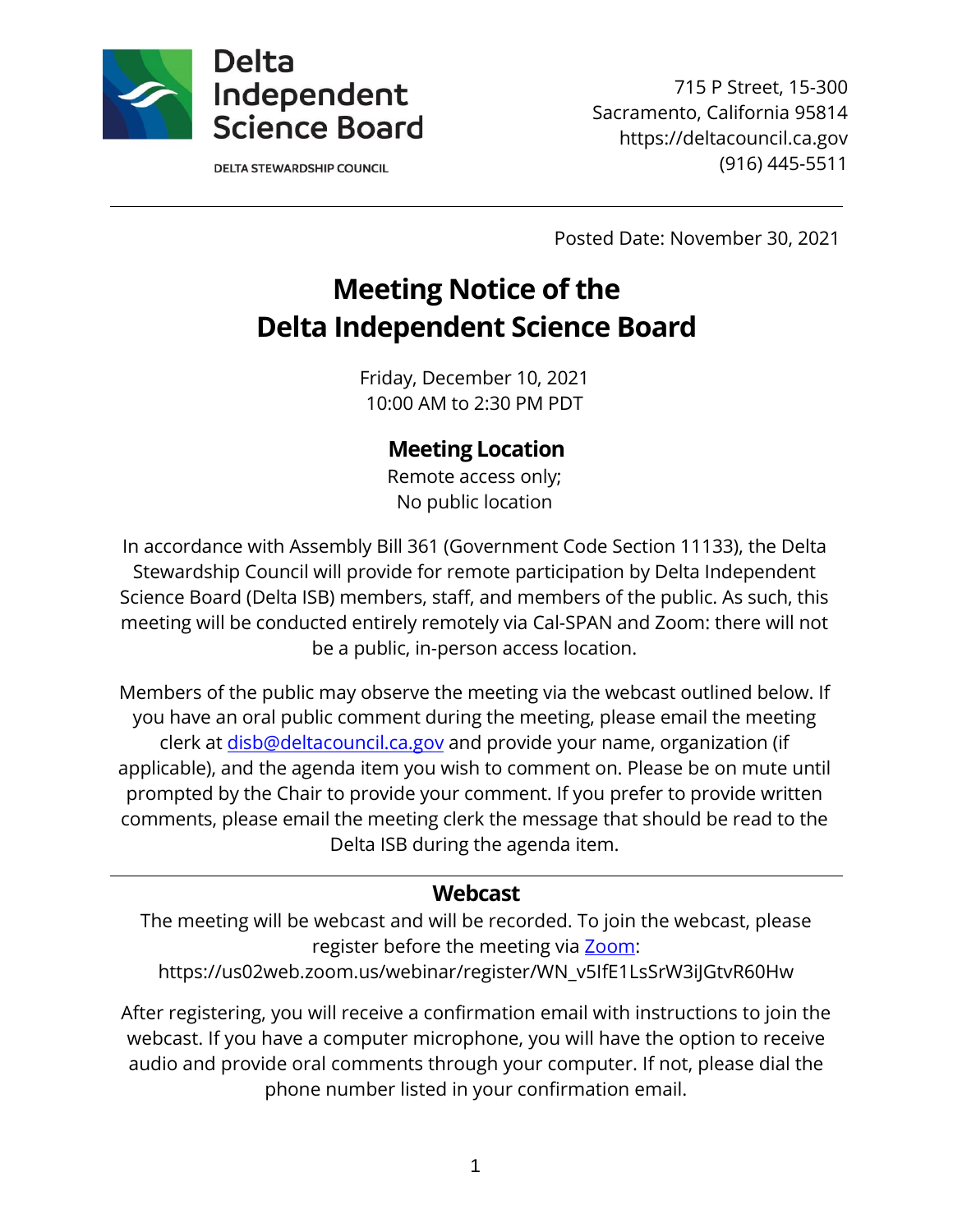

**DELTA STEWARDSHIP COUNCIL** 

715 P Street, 15-300 Sacramento, California 95814 https://deltacouncil.ca.gov (916) 445-5511

Posted Date: November 30, 2021

# **Meeting Notice of the Delta Independent Science Board**

Friday, December 10, 2021 10:00 AM to 2:30 PM PDT

# **Meeting Location**

Remote access only; No public location

In accordance with Assembly Bill 361 (Government Code Section 11133), the Delta Stewardship Council will provide for remote participation by Delta Independent Science Board (Delta ISB) members, staff, and members of the public. As such, this meeting will be conducted entirely remotely via Cal-SPAN and Zoom: there will not be a public, in-person access location.

Members of the public may observe the meeting via the webcast outlined below. If you have an oral public comment during the meeting, please email the meeting clerk at [disb@deltacouncil.ca.gov](mailto:disb@deltacouncil.ca.gov) and provide your name, organization (if applicable), and the agenda item you wish to comment on. Please be on mute until prompted by the Chair to provide your comment. If you prefer to provide written comments, please email the meeting clerk the message that should be read to the Delta ISB during the agenda item.

## **Webcast**

The meeting will be webcast and will be recorded. To join the webcast, please register before the meeting via [Zoom:](https://us02web.zoom.us/webinar/register/WN_v5IfE1LsSrW3iJGtvR60Hw)

https://us02web.zoom.us/webinar/register/WN\_v5IfE1LsSrW3iJGtvR60Hw

After registering, you will receive a confirmation email with instructions to join the webcast. If you have a computer microphone, you will have the option to receive audio and provide oral comments through your computer. If not, please dial the phone number listed in your confirmation email.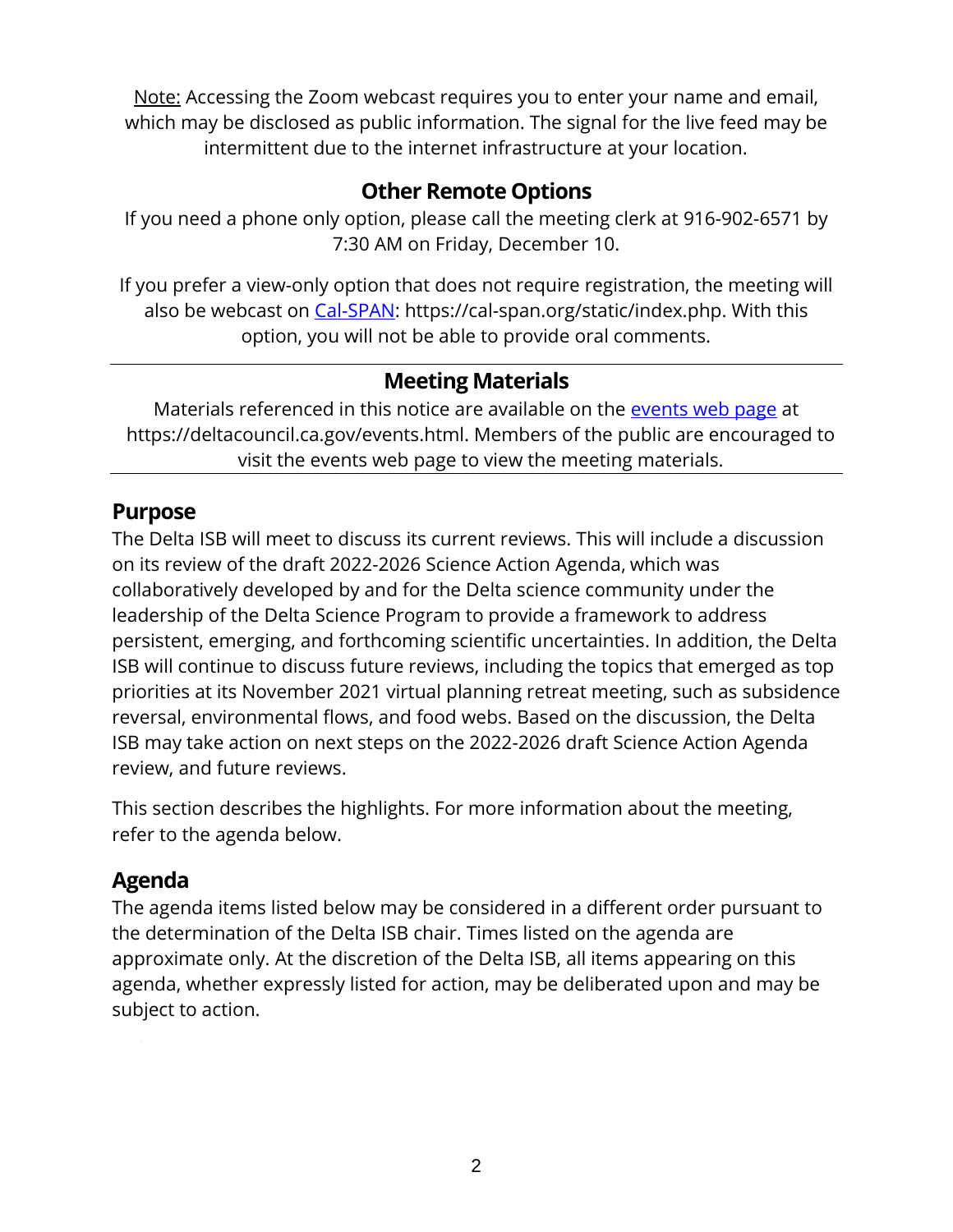Note: Accessing the Zoom webcast requires you to enter your name and email, which may be disclosed as public information. The signal for the live feed may be intermittent due to the internet infrastructure at your location.

# **Other Remote Options**

If you need a phone only option, please call the meeting clerk at 916-902-6571 by 7:30 AM on Friday, December 10.

If you prefer a view-only option that does not require registration, the meeting will also be webcast on [Cal-SPAN:](https://cal-span.org/static/index.php) https://cal-span.org/static/index.php. With this option, you will not be able to provide oral comments.

# **Meeting Materials**

Materials referenced in this notice are available on the [events web page](https://deltacouncil.ca.gov/events.html) at https://deltacouncil.ca.gov/events.html. Members of the public are encouraged to visit the events web page to view the meeting materials.

## **Purpose**

The Delta ISB will meet to discuss its current reviews. This will include a discussion on its review of the draft 2022-2026 Science Action Agenda, which was collaboratively developed by and for the Delta science community under the leadership of the Delta Science Program to provide a framework to address persistent, emerging, and forthcoming scientific uncertainties. In addition, the Delta ISB will continue to discuss future reviews, including the topics that emerged as top priorities at its November 2021 virtual planning retreat meeting, such as subsidence reversal, environmental flows, and food webs. Based on the discussion, the Delta ISB may take action on next steps on the 2022-2026 draft Science Action Agenda review, and future reviews.

This section describes the highlights. For more information about the meeting, refer to the agenda below.

# **Agenda**

The agenda items listed below may be considered in a different order pursuant to the determination of the Delta ISB chair. Times listed on the agenda are approximate only. At the discretion of the Delta ISB, all items appearing on this agenda, whether expressly listed for action, may be deliberated upon and may be subject to action.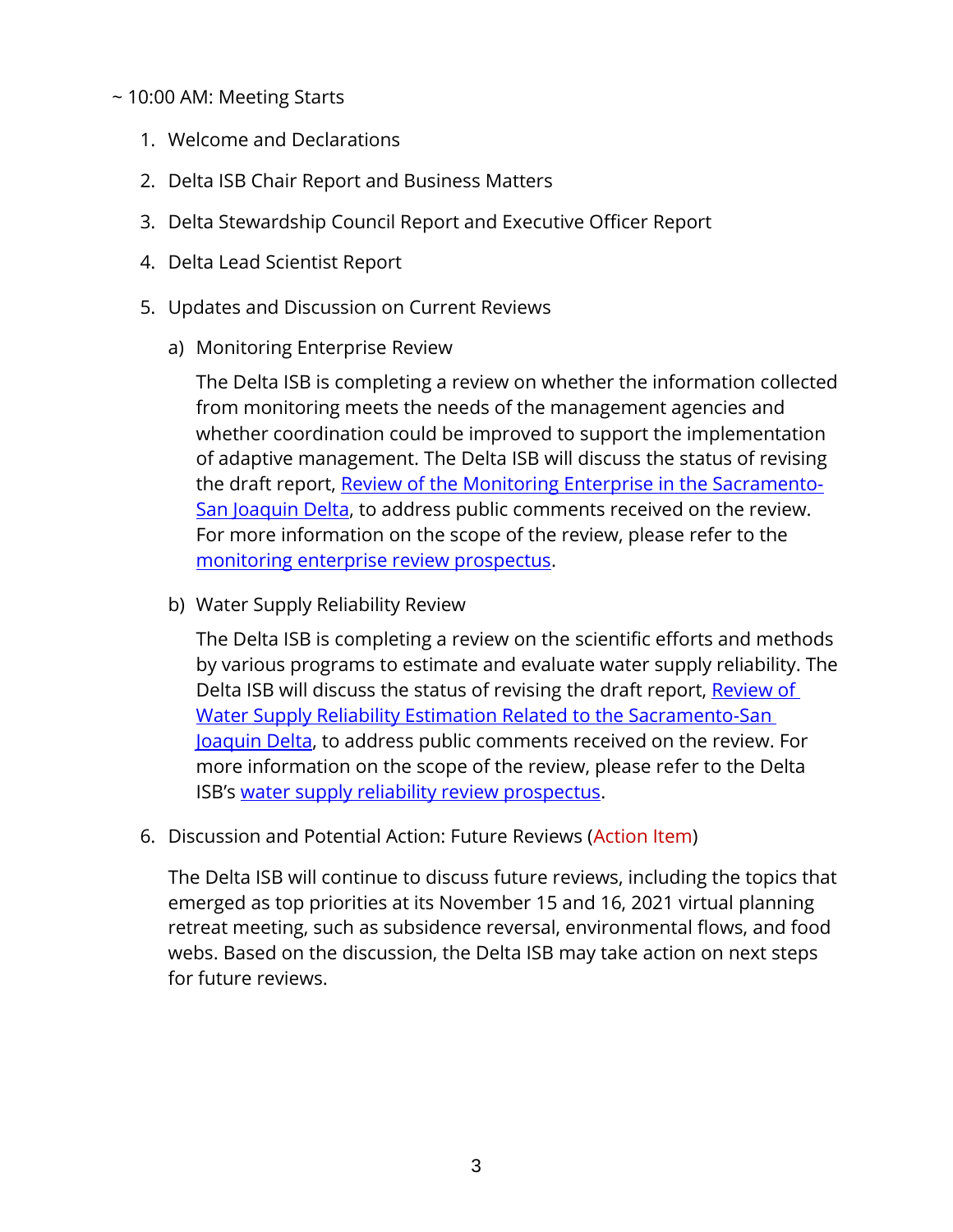#### ~ 10:00 AM: Meeting Starts

- 1. Welcome and Declarations
- 2. Delta ISB Chair Report and Business Matters
- 3. Delta Stewardship Council Report and Executive Officer Report
- 4. Delta Lead Scientist Report
- 5. Updates and Discussion on Current Reviews
	- a) Monitoring Enterprise Review

The Delta ISB is completing a review on whether the information collected from monitoring meets the needs of the management agencies and whether coordination could be improved to support the implementation of adaptive management. The Delta ISB will discuss the status of revising the draft report, [Review of the Monitoring Enterprise in the Sacramento-](https://deltacouncil.ca.gov/pdf/isb/meeting-materials/2021-10-12-draft-isb-mer-report.pdf)[San Joaquin Delta,](https://deltacouncil.ca.gov/pdf/isb/meeting-materials/2021-10-12-draft-isb-mer-report.pdf) to address public comments received on the review. For more information on the scope of the review, please refer to the [monitoring enterprise review prospectus.](http://deltacouncil.ca.gov/pdf/isb/products/2017-04-06-isb-mer-prospectus.pdf)

b) Water Supply Reliability Review

The Delta ISB is completing a review on the scientific efforts and methods by various programs to estimate and evaluate water supply reliability. The Delta ISB will discuss the status of revising the draft report, Review of [Water Supply Reliability Estimation Related to the Sacramento-San](https://deltacouncil.ca.gov/pdf/isb/meeting-materials/2021-09-01-isb-draft-water-supply-review.pdf)  [Joaquin Delta,](https://deltacouncil.ca.gov/pdf/isb/meeting-materials/2021-09-01-isb-draft-water-supply-review.pdf) to address public comments received on the review. For more information on the scope of the review, please refer to the Delta ISB's [water supply reliability review prospectus.](http://deltacouncil.ca.gov/pdf/isb/products/2018-04-03-isb-water-supply-prospectus.pdf)

6. Discussion and Potential Action: Future Reviews (Action Item)

The Delta ISB will continue to discuss future reviews, including the topics that emerged as top priorities at its November 15 and 16, 2021 virtual planning retreat meeting, such as subsidence reversal, environmental flows, and food webs. Based on the discussion, the Delta ISB may take action on next steps for future reviews.